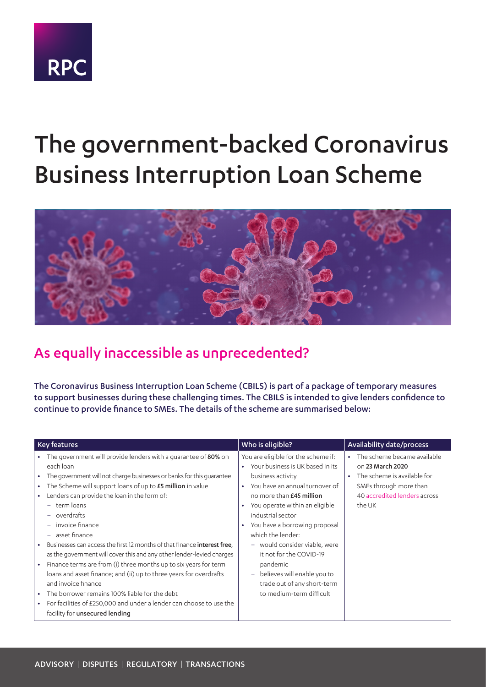

# The government-backed Coronavirus Business Interruption Loan Scheme



## As equally inaccessible as unprecedented?

The Coronavirus Business Interruption Loan Scheme (CBILS) is part of a package of temporary measures to support businesses during these challenging times. The CBILS is intended to give lenders confidence to continue to provide finance to SMEs. The details of the scheme are summarised below:

| <b>Key features</b>    |                                                                                                                                                                                                                                                                |                                     | Who is eligible?                                                                                                                                                        |                        | Availability date/process                                                      |
|------------------------|----------------------------------------------------------------------------------------------------------------------------------------------------------------------------------------------------------------------------------------------------------------|-------------------------------------|-------------------------------------------------------------------------------------------------------------------------------------------------------------------------|------------------------|--------------------------------------------------------------------------------|
| $\bullet$              | The government will provide lenders with a guarantee of 80% on<br>each loan<br>The government will not charge businesses or banks for this guarantee                                                                                                           | $\bullet$                           | You are eligible for the scheme if:<br>Your business is UK based in its<br>business activity                                                                            | $\bullet$<br>$\bullet$ | The scheme became available<br>on 23 March 2020<br>The scheme is available for |
| ٠                      | The Scheme will support loans of up to £5 million in value<br>Lenders can provide the loan in the form of:<br>term loans<br>$\overline{\phantom{m}}$<br>overdrafts<br>$\overline{\phantom{m}}$<br>invoice finance<br>asset finance<br>$\overline{\phantom{m}}$ | $\bullet$<br>$\bullet$<br>$\bullet$ | You have an annual turnover of<br>no more than £45 million<br>You operate within an eligible<br>industrial sector<br>You have a borrowing proposal<br>which the lender: |                        | SMEs through more than<br>40 accredited lenders across<br>the UK               |
| ٠                      | Businesses can access the first 12 months of that finance interest free.<br>as the government will cover this and any other lender-levied charges                                                                                                              |                                     | - would consider viable, were<br>it not for the COVID-19                                                                                                                |                        |                                                                                |
| $\bullet$              | Finance terms are from (i) three months up to six years for term<br>loans and asset finance; and (ii) up to three years for overdrafts<br>and invoice finance                                                                                                  |                                     | pandemic<br>believes will enable you to<br>trade out of any short-term                                                                                                  |                        |                                                                                |
| $\bullet$<br>$\bullet$ | The borrower remains 100% liable for the debt<br>For facilities of £250,000 and under a lender can choose to use the<br>facility for unsecured lending                                                                                                         |                                     | to medium-term difficult                                                                                                                                                |                        |                                                                                |